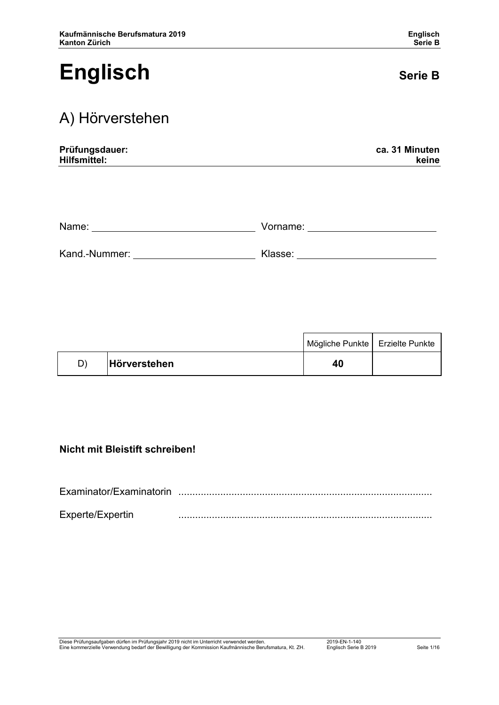# **Englisch** Serie B

## A) Hörverstehen

| Prüfungsdauer:      | ca. 31 Minuten |
|---------------------|----------------|
| <b>Hilfsmittel:</b> | keine          |

| Name:         | Vorname: |  |
|---------------|----------|--|
|               |          |  |
| Kand.-Nummer: | Klasse:  |  |

|    |              | Mögliche Punkte   Erzielte Punkte |  |
|----|--------------|-----------------------------------|--|
| D) | Hörverstehen | 40                                |  |

### **Nicht mit Bleistift schreiben!**

| Examinator/Examinatorin |   |
|-------------------------|---|
| Experte/Expertin        | . |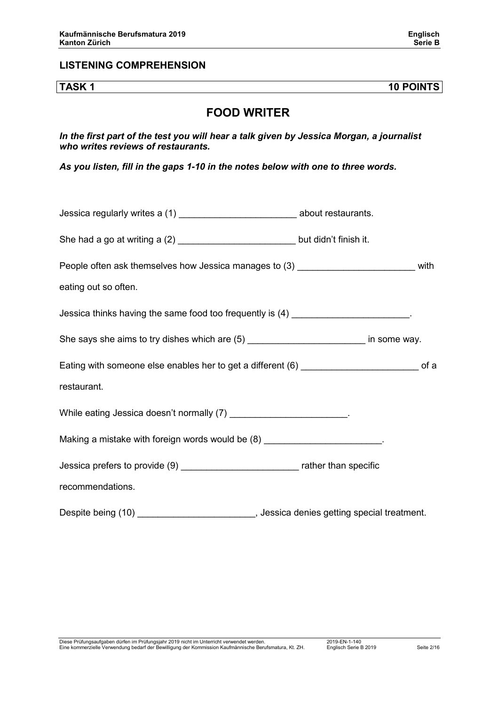#### **LISTENING COMPREHENSION**

**TASK 1 10 POINTS**

### **FOOD WRITER**

*In the first part of the test you will hear a talk given by Jessica Morgan, a journalist who writes reviews of restaurants.*

*As you listen, fill in the gaps 1-10 in the notes below with one to three words.*

| She had a go at writing a (2) ________________________________but didn't finish it.                |                                               |
|----------------------------------------------------------------------------------------------------|-----------------------------------------------|
| People often ask themselves how Jessica manages to (3) ________________________ with               |                                               |
| eating out so often.                                                                               |                                               |
| Jessica thinks having the same food too frequently is (4) ______________________                   |                                               |
| She says she aims to try dishes which are (5) ____________________________ in some way.            |                                               |
| Eating with someone else enables her to get a different (6) _________________________________ of a |                                               |
| restaurant.                                                                                        |                                               |
| While eating Jessica doesn't normally (7) _________________________.                               |                                               |
| Making a mistake with foreign words would be (8) Making a mistake with foreign words would be (8)  |                                               |
| Jessica prefers to provide (9) _________________________________ rather than specific              |                                               |
| recommendations.                                                                                   |                                               |
| Despite being (10)                                                                                 | __, Jessica denies getting special treatment. |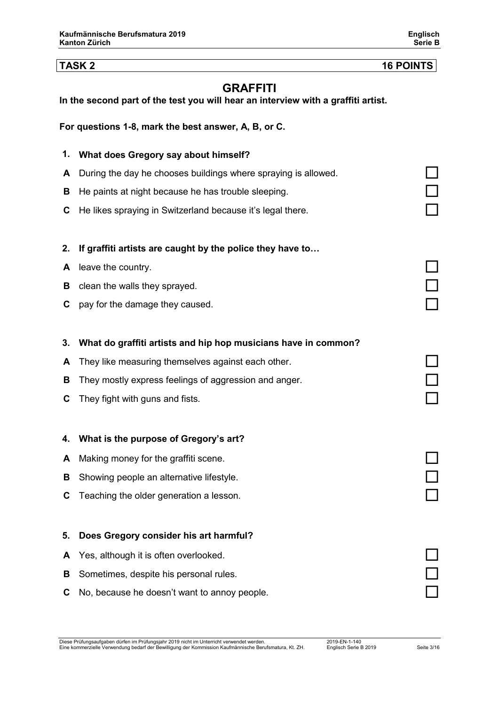#### **TASK 2 16 POINTS**

### **GRAFFITI**

#### **In the second part of the test you will hear an interview with a graffiti artist.**

**For questions 1-8, mark the best answer, A, B, or C.** 

## **1. What does Gregory say about himself? <sup>A</sup>** During the day he chooses buildings where spraying is allowed. **B** He paints at night because he has trouble sleeping. **<sup>C</sup>** He likes spraying in Switzerland because it's legal there. **2. If graffiti artists are caught by the police they have to… <sup>A</sup>** leave the country. **<sup>B</sup>** clean the walls they sprayed. **<sup>C</sup>** pay for the damage they caused. **3. What do graffiti artists and hip hop musicians have in common? <sup>A</sup>** They like measuring themselves against each other. **<sup>B</sup>** They mostly express feelings of aggression and anger.

**<sup>C</sup>** They fight with guns and fists.

#### **4. What is the purpose of Gregory's art?**

- **<sup>A</sup>** Making money for the graffiti scene.
	- **<sup>B</sup>** Showing people an alternative lifestyle.
	- **<sup>C</sup>** Teaching the older generation a lesson.

#### **5. Does Gregory consider his art harmful?**

- **<sup>A</sup>** Yes, although it is often overlooked.
- **B** Sometimes, despite his personal rules.
- **<sup>C</sup>** No, because he doesn't want to annoy people.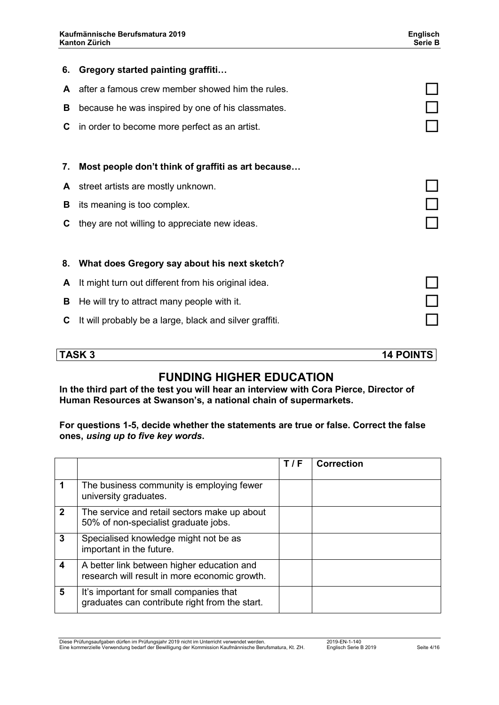| 6. | Gregory started painting graffiti                       |  |
|----|---------------------------------------------------------|--|
| A  | after a famous crew member showed him the rules.        |  |
| В  | because he was inspired by one of his classmates.       |  |
| С  | in order to become more perfect as an artist.           |  |
|    |                                                         |  |
| 7. | Most people don't think of graffiti as art because      |  |
| A  | street artists are mostly unknown.                      |  |
| В  | its meaning is too complex.                             |  |
| С  | they are not willing to appreciate new ideas.           |  |
|    |                                                         |  |
| 8. | What does Gregory say about his next sketch?            |  |
| A  | It might turn out different from his original idea.     |  |
| В  | He will try to attract many people with it.             |  |
| С  | It will probably be a large, black and silver graffiti. |  |
|    |                                                         |  |

**TASK 3 14 POINTS**

### **FUNDING HIGHER EDUCATION**

**In the third part of the test you will hear an interview with Cora Pierce, Director of Human Resources at Swanson's, a national chain of supermarkets.**

**For questions 1-5, decide whether the statements are true or false. Correct the false ones,** *using up to five key words***.** 

|              |                                                                                             | T/F | <b>Correction</b> |
|--------------|---------------------------------------------------------------------------------------------|-----|-------------------|
|              | The business community is employing fewer<br>university graduates.                          |     |                   |
| $\mathbf{2}$ | The service and retail sectors make up about<br>50% of non-specialist graduate jobs.        |     |                   |
| 3            | Specialised knowledge might not be as<br>important in the future.                           |     |                   |
| 4            | A better link between higher education and<br>research will result in more economic growth. |     |                   |
| 5            | It's important for small companies that<br>graduates can contribute right from the start.   |     |                   |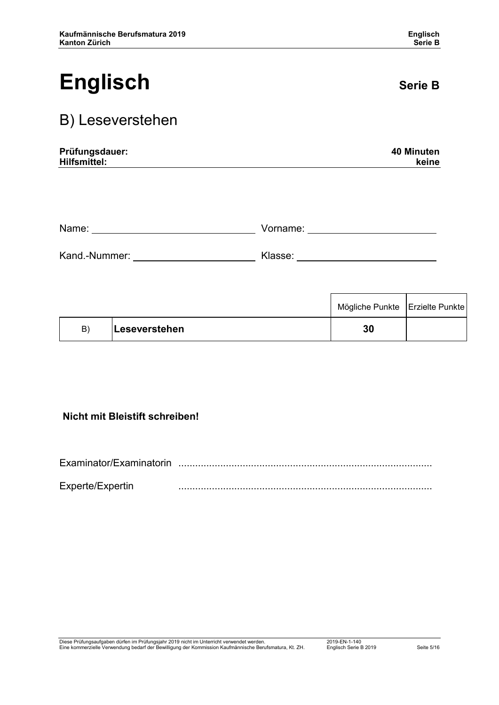# **Englisch** Serie B

 $\top$ 

٦

## B) Leseverstehen

| Prüfungsdauer: | 40 Minuten |
|----------------|------------|
| Hilfsmittel:   | keine      |

| Name:         | Vorname: |
|---------------|----------|
| Kand.-Nummer: | Klasse:  |
|               |          |

|    |                      | Mögliche Punkte   Erzielte Punkte |  |
|----|----------------------|-----------------------------------|--|
| B) | <b>Leseverstehen</b> | 30                                |  |

 $\overline{1}$ 

### **Nicht mit Bleistift schreiben!**

| Examinator/Examinatorin |  |
|-------------------------|--|
| Experte/Expertin        |  |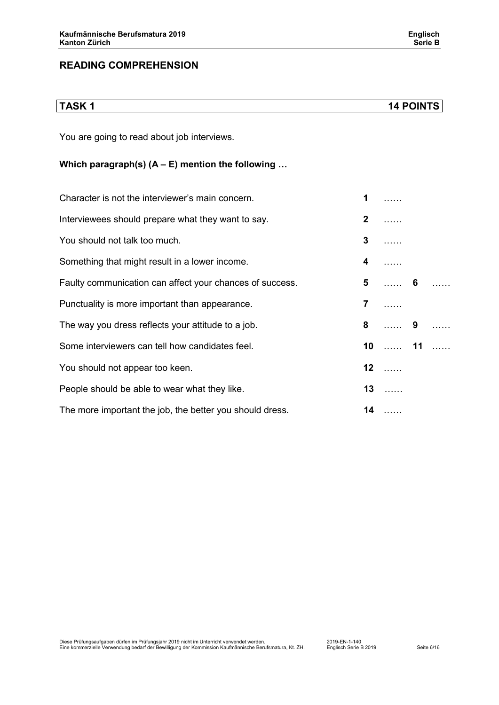| <b>TASK 1</b>                                            |             | <b>14 POINTS</b> |    |  |  |
|----------------------------------------------------------|-------------|------------------|----|--|--|
| You are going to read about job interviews.              |             |                  |    |  |  |
| Which paragraph(s) $(A - E)$ mention the following       |             |                  |    |  |  |
| Character is not the interviewer's main concern.         | 1           |                  |    |  |  |
| Interviewees should prepare what they want to say.       | $\mathbf 2$ |                  |    |  |  |
| You should not talk too much.                            | 3           |                  |    |  |  |
| Something that might result in a lower income.           | 4           |                  |    |  |  |
| Faulty communication can affect your chances of success. | 5           |                  | 6  |  |  |
| Punctuality is more important than appearance.           | 7           |                  |    |  |  |
| The way you dress reflects your attitude to a job.       | 8           | .                | 9  |  |  |
| Some interviewers can tell how candidates feel.          | 10          | 1.1.1.1          | 11 |  |  |
| You should not appear too keen.                          | 12          |                  |    |  |  |
| People should be able to wear what they like.            | 13          |                  |    |  |  |
| The more important the job, the better you should dress. | 14          |                  |    |  |  |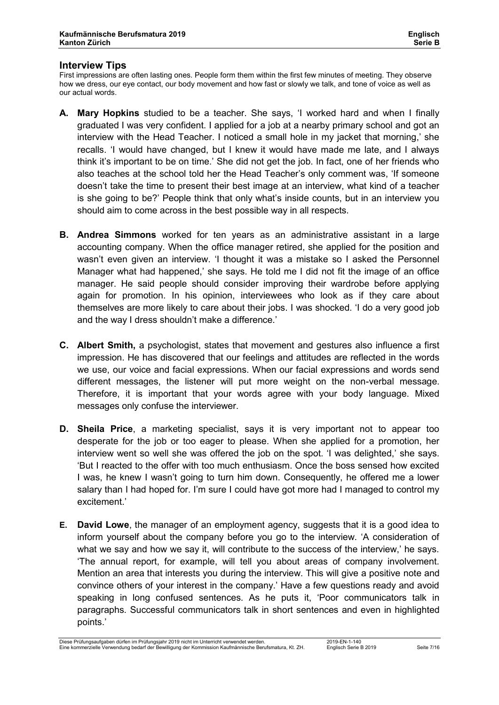#### **Interview Tips**

First impressions are often lasting ones. People form them within the first few minutes of meeting. They observe how we dress, our eye contact, our body movement and how fast or slowly we talk, and tone of voice as well as our actual words.

- **A. Mary Hopkins** studied to be a teacher. She says, 'I worked hard and when I finally graduated I was very confident. I applied for a job at a nearby primary school and got an interview with the Head Teacher. I noticed a small hole in my jacket that morning,' she recalls. 'I would have changed, but I knew it would have made me late, and I always think it's important to be on time.' She did not get the job. In fact, one of her friends who also teaches at the school told her the Head Teacher's only comment was, 'If someone doesn't take the time to present their best image at an interview, what kind of a teacher is she going to be?' People think that only what's inside counts, but in an interview you should aim to come across in the best possible way in all respects.
- **B. Andrea Simmons** worked for ten years as an administrative assistant in a large accounting company. When the office manager retired, she applied for the position and wasn't even given an interview. 'I thought it was a mistake so I asked the Personnel Manager what had happened,' she says. He told me I did not fit the image of an office manager. He said people should consider improving their wardrobe before applying again for promotion. In his opinion, interviewees who look as if they care about themselves are more likely to care about their jobs. I was shocked. 'I do a very good job and the way I dress shouldn't make a difference.'
- **C. Albert Smith,** a psychologist, states that movement and gestures also influence a first impression. He has discovered that our feelings and attitudes are reflected in the words we use, our voice and facial expressions. When our facial expressions and words send different messages, the listener will put more weight on the non-verbal message. Therefore, it is important that your words agree with your body language. Mixed messages only confuse the interviewer.
- **D. Sheila Price**, a marketing specialist, says it is very important not to appear too desperate for the job or too eager to please. When she applied for a promotion, her interview went so well she was offered the job on the spot. 'I was delighted,' she says. 'But I reacted to the offer with too much enthusiasm. Once the boss sensed how excited I was, he knew I wasn't going to turn him down. Consequently, he offered me a lower salary than I had hoped for. I'm sure I could have got more had I managed to control my excitement.'
- **E. David Lowe**, the manager of an employment agency, suggests that it is a good idea to inform yourself about the company before you go to the interview. 'A consideration of what we say and how we say it, will contribute to the success of the interview,' he says. 'The annual report, for example, will tell you about areas of company involvement. Mention an area that interests you during the interview. This will give a positive note and convince others of your interest in the company.' Have a few questions ready and avoid speaking in long confused sentences. As he puts it, 'Poor communicators talk in paragraphs. Successful communicators talk in short sentences and even in highlighted points.'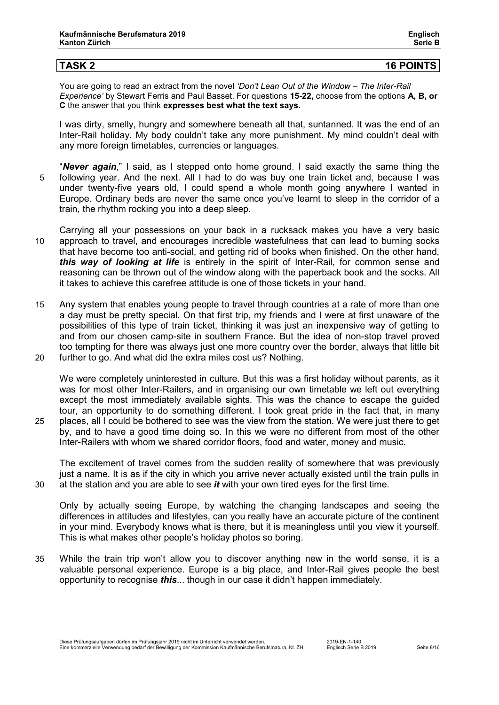#### **TASK 2 16 POINTS**

You are going to read an extract from the novel *'Don't Lean Out of the Window – The Inter-Rail Experience'* by Stewart Ferris and Paul Basset. For questions **15-22,** choose from the options **A, B, or C** the answer that you think **expresses best what the text says.**

I was dirty, smelly, hungry and somewhere beneath all that, suntanned. It was the end of an Inter-Rail holiday. My body couldn't take any more punishment. My mind couldn't deal with any more foreign timetables, currencies or languages.

- "*Never again*," I said, as I stepped onto home ground. I said exactly the same thing the 5 following year. And the next. All I had to do was buy one train ticket and, because I was under twenty-five years old, I could spend a whole month going anywhere I wanted in Europe. Ordinary beds are never the same once you've learnt to sleep in the corridor of a train, the rhythm rocking you into a deep sleep.
- Carrying all your possessions on your back in a rucksack makes you have a very basic 10 approach to travel, and encourages incredible wastefulness that can lead to burning socks that have become too anti-social, and getting rid of books when finished. On the other hand, *this way of looking at life* is entirely in the spirit of Inter-Rail, for common sense and reasoning can be thrown out of the window along with the paperback book and the socks. All it takes to achieve this carefree attitude is one of those tickets in your hand.
- 15 Any system that enables young people to travel through countries at a rate of more than one a day must be pretty special. On that first trip, my friends and I were at first unaware of the possibilities of this type of train ticket, thinking it was just an inexpensive way of getting to and from our chosen camp-site in southern France. But the idea of non-stop travel proved too tempting for there was always just one more country over the border, always that little bit 20 further to go. And what did the extra miles cost us? Nothing.

We were completely uninterested in culture. But this was a first holiday without parents, as it was for most other Inter-Railers, and in organising our own timetable we left out everything except the most immediately available sights. This was the chance to escape the guided tour, an opportunity to do something different. I took great pride in the fact that, in many 25 places, all I could be bothered to see was the view from the station. We were just there to get by, and to have a good time doing so. In this we were no different from most of the other

The excitement of travel comes from the sudden reality of somewhere that was previously just a name. It is as if the city in which you arrive never actually existed until the train pulls in 30 at the station and you are able to see *it* with your own tired eyes for the first time.

Inter-Railers with whom we shared corridor floors, food and water, money and music.

Only by actually seeing Europe, by watching the changing landscapes and seeing the differences in attitudes and lifestyles, can you really have an accurate picture of the continent in your mind. Everybody knows what is there, but it is meaningless until you view it yourself. This is what makes other people's holiday photos so boring.

35 While the train trip won't allow you to discover anything new in the world sense, it is a valuable personal experience. Europe is a big place, and Inter-Rail gives people the best opportunity to recognise *this*... though in our case it didn't happen immediately.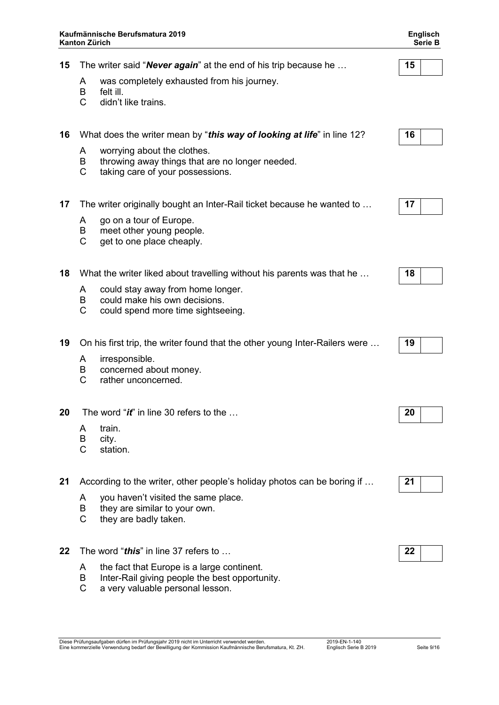|    | <b>Kanton Zürich</b> | Kaufmännische Berufsmatura 2019                                                                                    | <b>Englisch</b><br><b>Serie B</b> |
|----|----------------------|--------------------------------------------------------------------------------------------------------------------|-----------------------------------|
| 15 |                      | The writer said " <b>Never again</b> " at the end of his trip because he                                           | 15                                |
|    | A<br>B<br>C          | was completely exhausted from his journey.<br>felt ill.<br>didn't like trains.                                     |                                   |
| 16 |                      | What does the writer mean by "this way of looking at life" in line 12?                                             | 16                                |
|    | A<br>В<br>C          | worrying about the clothes.<br>throwing away things that are no longer needed.<br>taking care of your possessions. |                                   |
| 17 |                      | The writer originally bought an Inter-Rail ticket because he wanted to                                             | 17                                |
|    | A<br>B<br>C          | go on a tour of Europe.<br>meet other young people.<br>get to one place cheaply.                                   |                                   |
| 18 |                      | What the writer liked about travelling without his parents was that he                                             | 18                                |
|    | A<br>B<br>C          | could stay away from home longer.<br>could make his own decisions.<br>could spend more time sightseeing.           |                                   |
| 19 |                      | On his first trip, the writer found that the other young Inter-Railers were                                        | 19                                |
|    | A<br>B               | irresponsible.<br>concerned about money.<br>rather unconcerned.                                                    |                                   |
| 20 |                      | The word " $i\mathbf{f}$ " in line 30 refers to the $\dots$                                                        | 20                                |
|    | A<br>В<br>C          | train.<br>city.<br>station.                                                                                        |                                   |

**21** According to the writer, other people's holiday photos can be boring if … **21**

- A you haven't visited the same place.
- B they are similar to your own.
- C they are badly taken.
- **22** The word "*this*" in line 37 refers to … **22**
	- A the fact that Europe is a large continent.<br>B Inter-Rail giving people the best opportu
	- B Inter-Rail giving people the best opportunity.<br>C a very valuable personal lesson.
	- a very valuable personal lesson.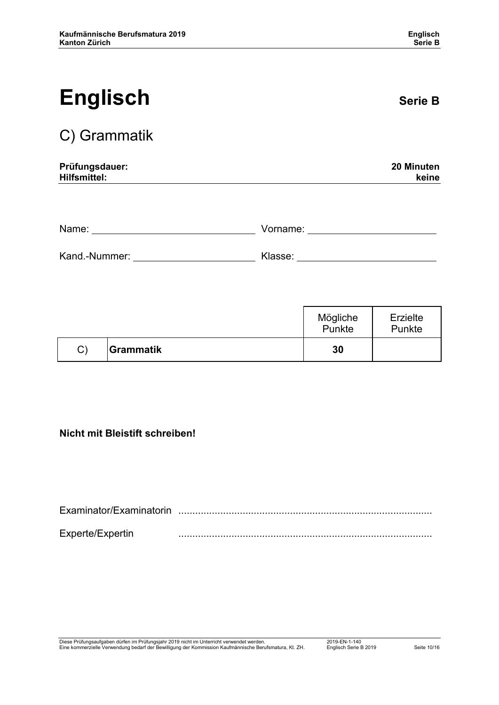# **Englisch** Serie B

## C) Grammatik

| Prüfungsdauer:      | 20 Minuten |  |
|---------------------|------------|--|
| <b>Hilfsmittel:</b> | keine      |  |

| Name:         | Vorname: |
|---------------|----------|
| Kand.-Nummer: | Klasse:  |

|               |           | Mögliche<br>Punkte | Erzielte<br>Punkte |
|---------------|-----------|--------------------|--------------------|
| $\mathcal{C}$ | Grammatik | 30                 |                    |

### **Nicht mit Bleistift schreiben!**

| Examinator/Examinatorin |  |
|-------------------------|--|
| Experte/Expertin        |  |

Diese Prüfungsaufgaben dürfen im Prüfungsjahr 2019 nicht im Unterricht verwendet werden. 2019-EN-1-140 Eine kommerzielle Verwendung bedarf der Bewilligung der Kommission Kaufmännische Berufsmatura, Kt. ZH. Englisch Serie B 2019 Seite 10/16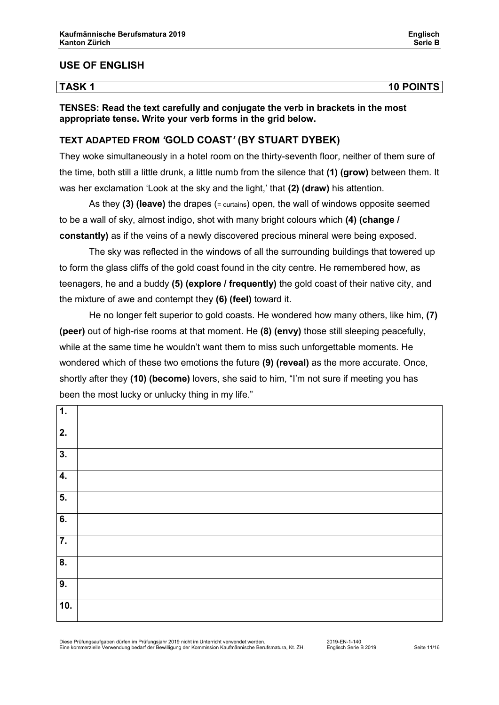#### **USE OF ENGLISH**

**TENSES: Read the text carefully and conjugate the verb in brackets in the most appropriate tense. Write your verb forms in the grid below.**

#### **TEXT ADAPTED FROM** *'***GOLD COAST***'* **(BY STUART DYBEK)**

They woke simultaneously in a hotel room on the thirty-seventh floor, neither of them sure of the time, both still a little drunk, a little numb from the silence that **(1) (grow)** between them. It was her exclamation 'Look at the sky and the light,' that **(2) (draw)** his attention.

As they **(3) (leave)** the drapes (= curtains) open, the wall of windows opposite seemed to be a wall of sky, almost indigo, shot with many bright colours which **(4) (change / constantly)** as if the veins of a newly discovered precious mineral were being exposed.

The sky was reflected in the windows of all the surrounding buildings that towered up to form the glass cliffs of the gold coast found in the city centre. He remembered how, as teenagers, he and a buddy **(5) (explore / frequently)** the gold coast of their native city, and the mixture of awe and contempt they **(6) (feel)** toward it.

He no longer felt superior to gold coasts. He wondered how many others, like him, **(7) (peer)** out of high-rise rooms at that moment. He **(8) (envy)** those still sleeping peacefully, while at the same time he wouldn't want them to miss such unforgettable moments. He wondered which of these two emotions the future **(9) (reveal)** as the more accurate. Once, shortly after they **(10) (become)** lovers, she said to him, "I'm not sure if meeting you has been the most lucky or unlucky thing in my life."

| $\overline{1}$ .          |  |
|---------------------------|--|
| 2.                        |  |
| $\overline{\mathbf{3}}$ . |  |
| $\overline{4}$            |  |
| $\overline{5}$ .          |  |
| 6.                        |  |
| $\overline{7}$ .          |  |
| $\overline{8}$ .          |  |
| $\overline{9}$ .          |  |
| 10.                       |  |

**TASK 1 10 POINTS**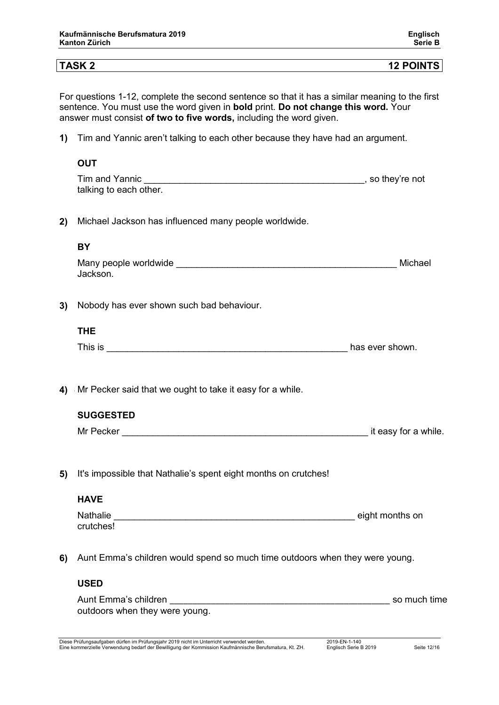| TASK <sub>2</sub><br>I ASN Z | $\lambda$ DOINTS<br>FUIN I<br>. J<br>. |
|------------------------------|----------------------------------------|
|                              |                                        |

For questions 1-12, complete the second sentence so that it has a similar meaning to the first sentence. You must use the word given in **bold** print. **Do not change this word.** Your answer must consist **of two to five words,** including the word given.

**1)** Tim and Yannic aren't talking to each other because they have had an argument.

#### **OUT**

| Tim and Yannic         | , so they're not |
|------------------------|------------------|
| talking to each other. |                  |

**2)** 2Michael Jackson has influenced many people worldwide.

#### **BY**

| Many people worldwide | Michael |
|-----------------------|---------|
| Jackson.              |         |

**3)** Nobody has ever shown such bad behaviour.

#### **THE**

| This is | has ever shown. |
|---------|-----------------|
|         |                 |

**4)** Mr Pecker said that we ought to take it easy for a while.

#### **SUGGESTED**

**5)** It's impossible that Nathalie's spent eight months on crutches!

#### **HAVE**

| <b>Nathalie</b> | eight months on |
|-----------------|-----------------|
| crutches!       |                 |

**6)** Aunt Emma's children would spend so much time outdoors when they were young.

#### **USED**

| Aunt Emma's children           | so much time |
|--------------------------------|--------------|
| outdoors when they were young. |              |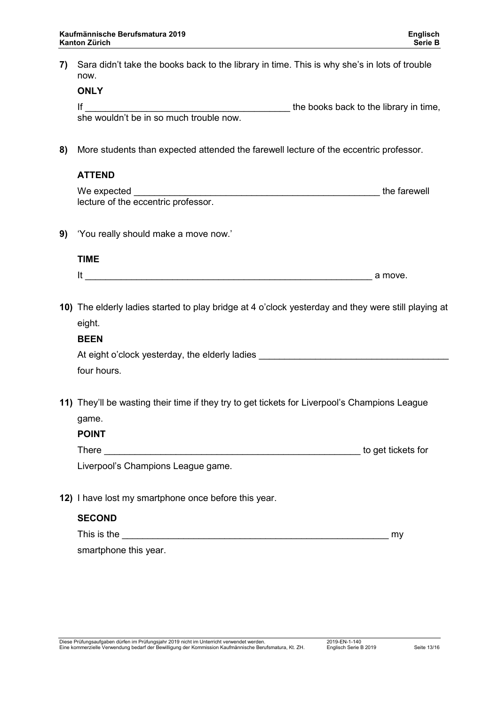**7)** Sara didn't take the books back to the library in time. This is why she's in lots of trouble now.

#### **ONLY**

If the books back to the library in time, she wouldn't be in so much trouble now.

8) More students than expected attended the farewell lecture of the eccentric professor.

|    | <b>ATTEND</b>                                                                                                                                                                                                                        |    |
|----|--------------------------------------------------------------------------------------------------------------------------------------------------------------------------------------------------------------------------------------|----|
|    |                                                                                                                                                                                                                                      |    |
|    | lecture of the eccentric professor.                                                                                                                                                                                                  |    |
| 9) | 'You really should make a move now.'                                                                                                                                                                                                 |    |
|    | <b>TIME</b>                                                                                                                                                                                                                          |    |
|    |                                                                                                                                                                                                                                      |    |
|    |                                                                                                                                                                                                                                      |    |
|    | 10) The elderly ladies started to play bridge at 4 o'clock yesterday and they were still playing at                                                                                                                                  |    |
|    | eight.                                                                                                                                                                                                                               |    |
|    | <b>BEEN</b>                                                                                                                                                                                                                          |    |
|    | At eight o'clock yesterday, the elderly ladies _________________________________                                                                                                                                                     |    |
|    | four hours.                                                                                                                                                                                                                          |    |
|    | 11) They'll be wasting their time if they try to get tickets for Liverpool's Champions League                                                                                                                                        |    |
|    | game.                                                                                                                                                                                                                                |    |
|    | <b>POINT</b>                                                                                                                                                                                                                         |    |
|    |                                                                                                                                                                                                                                      |    |
|    | Liverpool's Champions League game.                                                                                                                                                                                                   |    |
|    | 12) I have lost my smartphone once before this year.                                                                                                                                                                                 |    |
|    | <b>SECOND</b>                                                                                                                                                                                                                        |    |
|    | This is the <u>example and the set of the set of the set of the set of the set of the set of the set of the set of the set of the set of the set of the set of the set of the set of the set of the set of the set of the set of</u> | my |
|    | smartphone this year.                                                                                                                                                                                                                |    |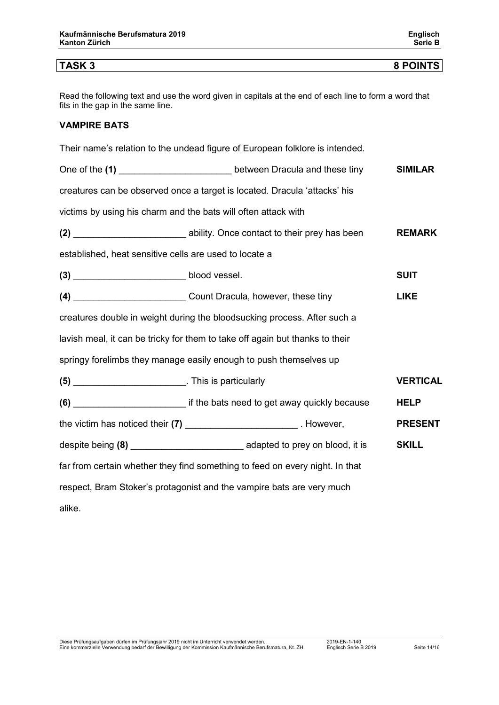Read the following text and use the word given in capitals at the end of each line to form a word that fits in the gap in the same line.

#### **VAMPIRE BATS**

|                                                                | Their name's relation to the undead figure of European folklore is intended.   |                 |
|----------------------------------------------------------------|--------------------------------------------------------------------------------|-----------------|
|                                                                | One of the (1) ________________________________ between Dracula and these tiny | <b>SIMILAR</b>  |
|                                                                | creatures can be observed once a target is located. Dracula 'attacks' his      |                 |
| victims by using his charm and the bats will often attack with |                                                                                |                 |
|                                                                |                                                                                | <b>REMARK</b>   |
| established, heat sensitive cells are used to locate a         |                                                                                |                 |
|                                                                |                                                                                | <b>SUIT</b>     |
|                                                                | (4) __________________________________Count Dracula, however, these tiny       | <b>LIKE</b>     |
|                                                                | creatures double in weight during the bloodsucking process. After such a       |                 |
|                                                                | lavish meal, it can be tricky for them to take off again but thanks to their   |                 |
|                                                                | springy forelimbs they manage easily enough to push themselves up              |                 |
| (5) __________________________________. This is particularly   |                                                                                | <b>VERTICAL</b> |
|                                                                |                                                                                | <b>HELP</b>     |
|                                                                | the victim has noticed their (7) _____________________________. However,       | <b>PRESENT</b>  |
|                                                                |                                                                                | <b>SKILL</b>    |
|                                                                | far from certain whether they find something to feed on every night. In that   |                 |
|                                                                | respect, Bram Stoker's protagonist and the vampire bats are very much          |                 |
| alike.                                                         |                                                                                |                 |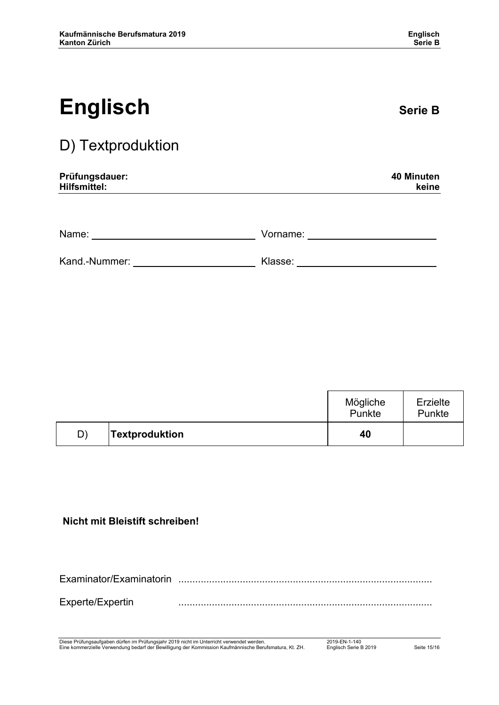| <b>Englisch</b>                       | <b>Serie B</b>      |
|---------------------------------------|---------------------|
| D) Textproduktion                     |                     |
| Prüfungsdauer:<br><b>Hilfsmittel:</b> | 40 Minuten<br>keine |
|                                       |                     |

| N <sub>2</sub> m <sub>6</sub> | $\sim$ $\sim$ $\sim$<br>$ -$ |
|-------------------------------|------------------------------|
|                               |                              |

Kand.-Nummer: Klasse:

|    |                | Mögliche<br>Punkte | Erzielte<br>Punkte |
|----|----------------|--------------------|--------------------|
| D) | Textproduktion | 40                 |                    |

### **Nicht mit Bleistift schreiben!**

Examinator/Examinatorin ........................................................................................... Experte/Expertin ...........................................................................................

Diese Prüfungsaufgaben dürfen im Prüfungsjahr 2019 nicht im Unterricht verwendet werden. 2019-EN-1-140 Eine kommerzielle Verwendung bedarf der Bewilligung der Kommission Kaufmännische Berufsmatura, Kt. ZH. Englisch Serie B 2019 Seite 15/16